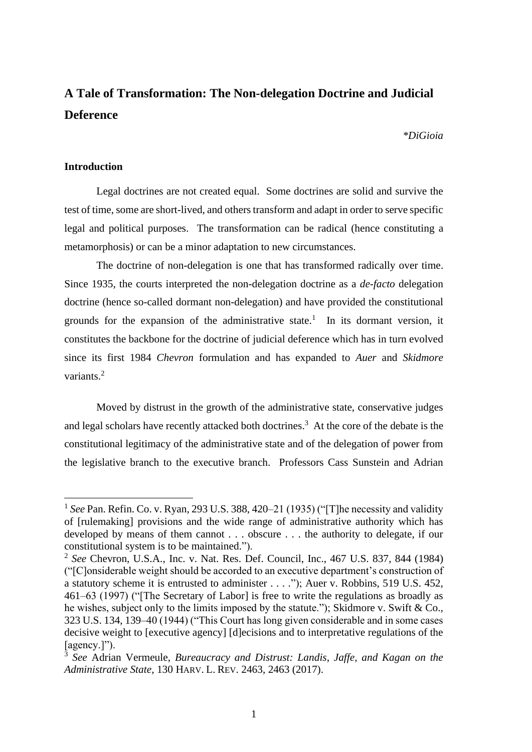# **A Tale of Transformation: The Non-delegation Doctrine and Judicial Deference**

#### *\*DiGioia*

## **Introduction**

Legal doctrines are not created equal. Some doctrines are solid and survive the test of time, some are short-lived, and otherstransform and adapt in order to serve specific legal and political purposes. The transformation can be radical (hence constituting a metamorphosis) or can be a minor adaptation to new circumstances.

The doctrine of non-delegation is one that has transformed radically over time. Since 1935, the courts interpreted the non-delegation doctrine as a *de-facto* delegation doctrine (hence so-called dormant non-delegation) and have provided the constitutional grounds for the expansion of the administrative state.<sup>1</sup> In its dormant version, it constitutes the backbone for the doctrine of judicial deference which has in turn evolved since its first 1984 *Chevron* formulation and has expanded to *Auer* and *Skidmore* variants.<sup>2</sup>

Moved by distrust in the growth of the administrative state, conservative judges and legal scholars have recently attacked both doctrines. 3 At the core of the debate is the constitutional legitimacy of the administrative state and of the delegation of power from the legislative branch to the executive branch. Professors Cass Sunstein and Adrian

<sup>&</sup>lt;sup>1</sup> See Pan. Refin. Co. v. Ryan, 293 U.S. 388, 420–21 (1935) ("[T] he necessity and validity of [rulemaking] provisions and the wide range of administrative authority which has developed by means of them cannot . . . obscure . . . the authority to delegate, if our constitutional system is to be maintained.").

<sup>2</sup> *See* Chevron, U.S.A., Inc. v. Nat. Res. Def. Council, Inc., 467 U.S. 837, 844 (1984) ("[C]onsiderable weight should be accorded to an executive department's construction of a statutory scheme it is entrusted to administer . . . ."); Auer v. Robbins, 519 U.S. 452, 461–63 (1997) ("[The Secretary of Labor] is free to write the regulations as broadly as he wishes, subject only to the limits imposed by the statute."); Skidmore v. Swift & Co., 323 U.S. 134, 139–40 (1944) ("This Court has long given considerable and in some cases decisive weight to [executive agency] [d]ecisions and to interpretative regulations of the [agency.]").

<sup>3</sup> *See* Adrian Vermeule, *Bureaucracy and Distrust: Landis, Jaffe, and Kagan on the Administrative State*, 130 HARV. L. REV. 2463, 2463 (2017).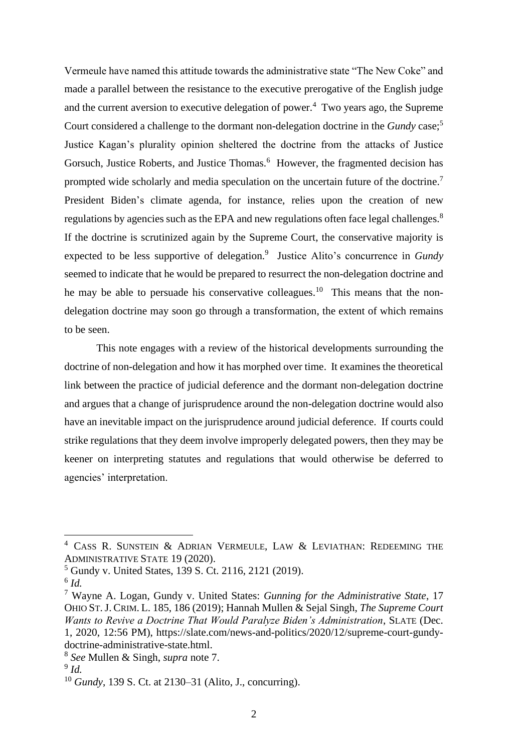Vermeule have named this attitude towards the administrative state "The New Coke" and made a parallel between the resistance to the executive prerogative of the English judge and the current aversion to executive delegation of power. $4$  Two years ago, the Supreme Court considered a challenge to the dormant non-delegation doctrine in the *Gundy* case;<sup>5</sup> Justice Kagan's plurality opinion sheltered the doctrine from the attacks of Justice Gorsuch, Justice Roberts, and Justice Thomas.<sup>6</sup> However, the fragmented decision has prompted wide scholarly and media speculation on the uncertain future of the doctrine.<sup>7</sup> President Biden's climate agenda, for instance, relies upon the creation of new regulations by agencies such as the EPA and new regulations often face legal challenges.<sup>8</sup> If the doctrine is scrutinized again by the Supreme Court, the conservative majority is expected to be less supportive of delegation.<sup>9</sup> Justice Alito's concurrence in *Gundy* seemed to indicate that he would be prepared to resurrect the non-delegation doctrine and he may be able to persuade his conservative colleagues.<sup>10</sup> This means that the nondelegation doctrine may soon go through a transformation, the extent of which remains to be seen.

This note engages with a review of the historical developments surrounding the doctrine of non-delegation and how it has morphed over time. It examines the theoretical link between the practice of judicial deference and the dormant non-delegation doctrine and argues that a change of jurisprudence around the non-delegation doctrine would also have an inevitable impact on the jurisprudence around judicial deference. If courts could strike regulations that they deem involve improperly delegated powers, then they may be keener on interpreting statutes and regulations that would otherwise be deferred to agencies' interpretation.

<sup>4</sup> CASS R. SUNSTEIN & ADRIAN VERMEULE, LAW & LEVIATHAN: REDEEMING THE ADMINISTRATIVE STATE 19 (2020).

<sup>5</sup> Gundy v. United States, 139 S. Ct. 2116, 2121 (2019).

<sup>6</sup> *Id.*

<sup>7</sup> Wayne A. Logan, Gundy v. United States: *Gunning for the Administrative State*, 17 OHIO ST.J. CRIM. L. 185, 186 (2019); Hannah Mullen & Sejal Singh, *The Supreme Court Wants to Revive a Doctrine That Would Paralyze Biden's Administration*, SLATE (Dec. 1, 2020, 12:56 PM), https://slate.com/news-and-politics/2020/12/supreme-court-gundydoctrine-administrative-state.html.

<sup>8</sup> *See* Mullen & Singh, *supra* note 7.

<sup>9</sup> *Id.*

<sup>10</sup> *Gundy*, 139 S. Ct. at 2130–31 (Alito, J., concurring).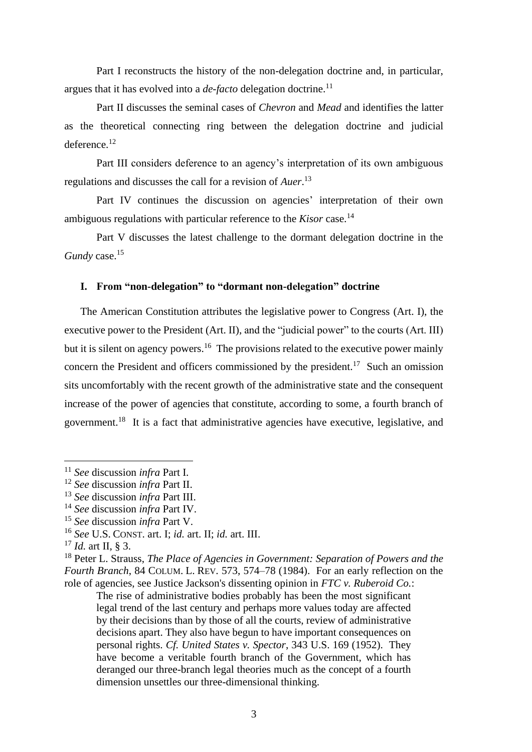Part I reconstructs the history of the non-delegation doctrine and, in particular, argues that it has evolved into a *de-facto* delegation doctrine.<sup>11</sup>

Part II discusses the seminal cases of *Chevron* and *Mead* and identifies the latter as the theoretical connecting ring between the delegation doctrine and judicial deference.<sup>12</sup>

Part III considers deference to an agency's interpretation of its own ambiguous regulations and discusses the call for a revision of *Auer*. 13

Part IV continues the discussion on agencies' interpretation of their own ambiguous regulations with particular reference to the *Kisor* case.<sup>14</sup>

Part V discusses the latest challenge to the dormant delegation doctrine in the *Gundy* case. 15

#### **I. From "non-delegation" to "dormant non-delegation" doctrine**

The American Constitution attributes the legislative power to Congress (Art. I), the executive power to the President (Art. II), and the "judicial power" to the courts (Art. III) but it is silent on agency powers.<sup>16</sup> The provisions related to the executive power mainly concern the President and officers commissioned by the president.<sup>17</sup> Such an omission sits uncomfortably with the recent growth of the administrative state and the consequent increase of the power of agencies that constitute, according to some, a fourth branch of government.<sup>18</sup> It is a fact that administrative agencies have executive, legislative, and

The rise of administrative bodies probably has been the most significant legal trend of the last century and perhaps more values today are affected by their decisions than by those of all the courts, review of administrative decisions apart. They also have begun to have important consequences on personal rights. *Cf. United States v. Spector*, 343 U.S. 169 (1952). They have become a veritable fourth branch of the Government, which has deranged our three-branch legal theories much as the concept of a fourth dimension unsettles our three-dimensional thinking.

<sup>11</sup> *See* discussion *infra* Part I.

<sup>12</sup> *See* discussion *infra* Part II.

<sup>13</sup> *See* discussion *infra* Part III.

<sup>14</sup> *See* discussion *infra* Part IV.

<sup>15</sup> *See* discussion *infra* Part V.

<sup>16</sup> *See* U.S. CONST. art. I; *id.* art. II; *id.* art. III.

<sup>17</sup> *Id.* art II, § 3.

<sup>18</sup> Peter L. Strauss, *The Place of Agencies in Government: Separation of Powers and the Fourth Branch*, 84 COLUM. L. REV. 573, 574–78 (1984). For an early reflection on the role of agencies, see Justice Jackson's dissenting opinion in *FTC v. Ruberoid Co.*: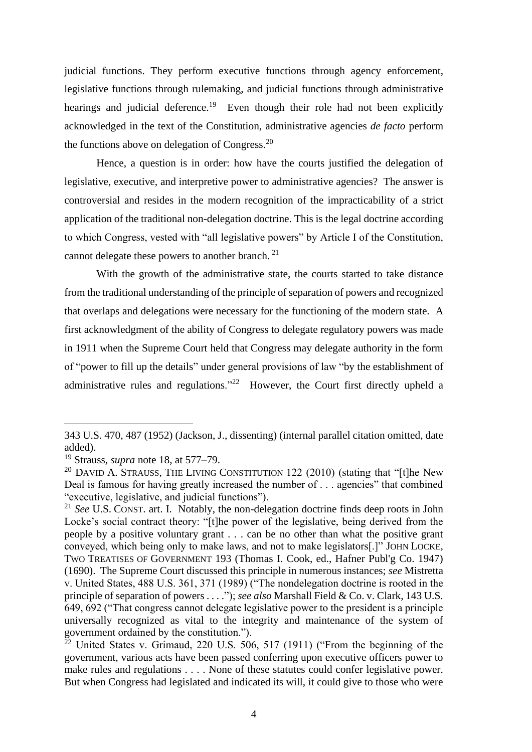judicial functions. They perform executive functions through agency enforcement, legislative functions through rulemaking, and judicial functions through administrative hearings and judicial deference.<sup>19</sup> Even though their role had not been explicitly acknowledged in the text of the Constitution, administrative agencies *de facto* perform the functions above on delegation of Congress. $20$ 

Hence, a question is in order: how have the courts justified the delegation of legislative, executive, and interpretive power to administrative agencies? The answer is controversial and resides in the modern recognition of the impracticability of a strict application of the traditional non-delegation doctrine. This is the legal doctrine according to which Congress, vested with "all legislative powers" by Article I of the Constitution, cannot delegate these powers to another branch. <sup>21</sup>

With the growth of the administrative state, the courts started to take distance from the traditional understanding of the principle of separation of powers and recognized that overlaps and delegations were necessary for the functioning of the modern state. A first acknowledgment of the ability of Congress to delegate regulatory powers was made in 1911 when the Supreme Court held that Congress may delegate authority in the form of "power to fill up the details" under general provisions of law "by the establishment of administrative rules and regulations."<sup>22</sup> However, the Court first directly upheld a

<sup>343</sup> U.S. 470, 487 (1952) (Jackson, J., dissenting) (internal parallel citation omitted, date added).

<sup>19</sup> Strauss, *supra* note 18, at 577–79.

 $20$  DAVID A. STRAUSS, THE LIVING CONSTITUTION 122 (2010) (stating that "[t]he New Deal is famous for having greatly increased the number of . . . agencies" that combined "executive, legislative, and judicial functions").

<sup>21</sup> *See* U.S. CONST. art. I. Notably, the non-delegation doctrine finds deep roots in John Locke's social contract theory: "[t]he power of the legislative, being derived from the people by a positive voluntary grant . . . can be no other than what the positive grant conveyed, which being only to make laws, and not to make legislators[.]" JOHN LOCKE, TWO TREATISES OF GOVERNMENT 193 (Thomas I. Cook, ed., Hafner Publ'g Co. 1947) (1690). The Supreme Court discussed this principle in numerous instances; *see* Mistretta v. United States, 488 U.S. 361, 371 (1989) ("The nondelegation doctrine is rooted in the principle of separation of powers . . . ."); *see also* Marshall Field & Co. v. Clark, 143 U.S. 649, 692 ("That congress cannot delegate legislative power to the president is a principle universally recognized as vital to the integrity and maintenance of the system of government ordained by the constitution.").

 $22$  United States v. Grimaud, 220 U.S. 506, 517 (1911) ("From the beginning of the government, various acts have been passed conferring upon executive officers power to make rules and regulations . . . . None of these statutes could confer legislative power. But when Congress had legislated and indicated its will, it could give to those who were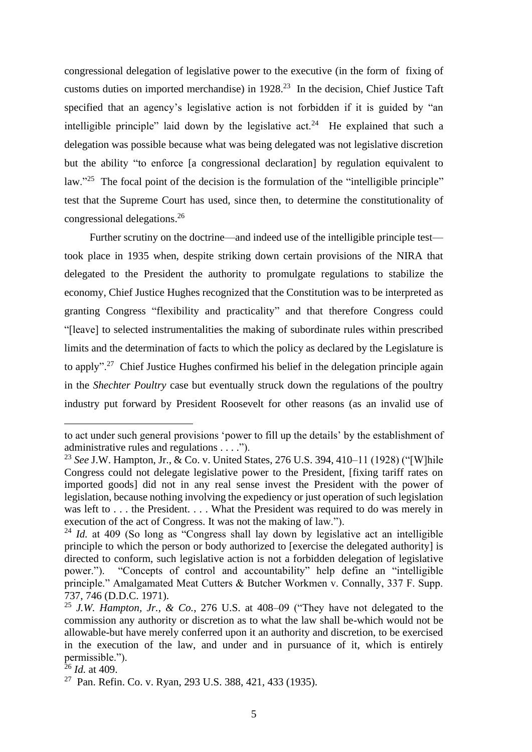congressional delegation of legislative power to the executive (in the form of fixing of customs duties on imported merchandise) in 1928. <sup>23</sup> In the decision, Chief Justice Taft specified that an agency's legislative action is not forbidden if it is guided by "an intelligible principle" laid down by the legislative  $act.^{24}$ . He explained that such a delegation was possible because what was being delegated was not legislative discretion but the ability "to enforce [a congressional declaration] by regulation equivalent to law."<sup>25</sup> The focal point of the decision is the formulation of the "intelligible principle" test that the Supreme Court has used, since then, to determine the constitutionality of congressional delegations. 26

Further scrutiny on the doctrine—and indeed use of the intelligible principle test took place in 1935 when, despite striking down certain provisions of the NIRA that delegated to the President the authority to promulgate regulations to stabilize the economy, Chief Justice Hughes recognized that the Constitution was to be interpreted as granting Congress "flexibility and practicality" and that therefore Congress could "[leave] to selected instrumentalities the making of subordinate rules within prescribed limits and the determination of facts to which the policy as declared by the Legislature is to apply"<sup>27</sup> Chief Justice Hughes confirmed his belief in the delegation principle again in the *Shechter Poultry* case but eventually struck down the regulations of the poultry industry put forward by President Roosevelt for other reasons (as an invalid use of

to act under such general provisions 'power to fill up the details' by the establishment of administrative rules and regulations . . . .").

<sup>23</sup> *See* J.W. Hampton, Jr., & Co. v. United States, 276 U.S. 394, 410–11 (1928) ("[W]hile Congress could not delegate legislative power to the President, [fixing tariff rates on imported goods] did not in any real sense invest the President with the power of legislation, because nothing involving the expediency or just operation of such legislation was left to . . . the President. . . . What the President was required to do was merely in execution of the act of Congress. It was not the making of law.").

<sup>&</sup>lt;sup>24</sup> *Id.* at 409 (So long as "Congress shall lay down by legislative act an intelligible principle to which the person or body authorized to [exercise the delegated authority] is directed to conform, such legislative action is not a forbidden delegation of legislative power."). "Concepts of control and accountability" help define an "intelligible principle." Amalgamated Meat Cutters & Butcher Workmen v. Connally, 337 F. Supp. 737, 746 (D.D.C. 1971).

<sup>25</sup> *J.W. Hampton, Jr., & Co.*, 276 U.S. at 408–09 ("They have not delegated to the commission any authority or discretion as to what the law shall be-which would not be allowable-but have merely conferred upon it an authority and discretion, to be exercised in the execution of the law, and under and in pursuance of it, which is entirely permissible.").

 $^{26}$  *Id.* at 409.

<sup>27</sup> Pan. Refin. Co. v. Ryan, 293 U.S. 388, 421, 433 (1935).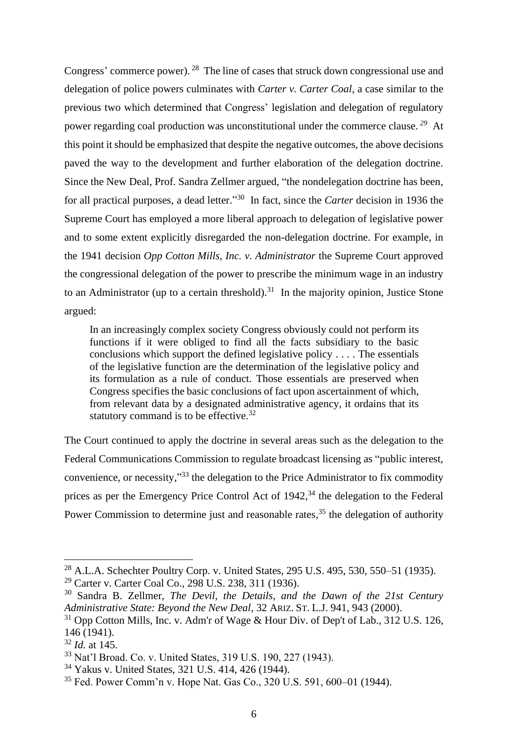Congress' commerce power). <sup>28</sup> The line of cases that struck down congressional use and delegation of police powers culminates with *Carter v. Carter Coal,* a case similar to the previous two which determined that Congress' legislation and delegation of regulatory power regarding coal production was unconstitutional under the commerce clause. *<sup>29</sup>* At this point it should be emphasized that despite the negative outcomes, the above decisions paved the way to the development and further elaboration of the delegation doctrine. Since the New Deal, Prof. Sandra Zellmer argued, "the nondelegation doctrine has been, for all practical purposes, a dead letter." 30 In fact, since the *Carter* decision in 1936 the Supreme Court has employed a more liberal approach to delegation of legislative power and to some extent explicitly disregarded the non-delegation doctrine. For example, in the 1941 decision *Opp Cotton Mills, Inc. v. Administrator* the Supreme Court approved the congressional delegation of the power to prescribe the minimum wage in an industry to an Administrator (up to a certain threshold).<sup>31</sup> In the majority opinion, Justice Stone argued:

In an increasingly complex society Congress obviously could not perform its functions if it were obliged to find all the facts subsidiary to the basic conclusions which support the defined legislative policy . . . . The essentials of the legislative function are the determination of the legislative policy and its formulation as a rule of conduct. Those essentials are preserved when Congress specifies the basic conclusions of fact upon ascertainment of which, from relevant data by a designated administrative agency, it ordains that its statutory command is to be effective.<sup>32</sup>

The Court continued to apply the doctrine in several areas such as the delegation to the Federal Communications Commission to regulate broadcast licensing as "public interest, convenience, or necessity,"<sup>33</sup> the delegation to the Price Administrator to fix commodity prices as per the Emergency Price Control Act of 1942,<sup>34</sup> the delegation to the Federal Power Commission to determine just and reasonable rates,<sup>35</sup> the delegation of authority

<sup>28</sup> A.L.A. Schechter Poultry Corp. v. United States, 295 U.S. 495, 530, 550–51 (1935).

<sup>29</sup> Carter v. Carter Coal Co., 298 U.S. 238, 311 (1936).

<sup>30</sup> Sandra B. Zellmer, *The Devil, the Details, and the Dawn of the 21st Century Administrative State: Beyond the New Deal*, 32 ARIZ. ST. L.J. 941, 943 (2000).

<sup>31</sup> Opp Cotton Mills, Inc. v. Adm'r of Wage & Hour Div. of Dep't of Lab., 312 U.S. 126, 146 (1941).

<sup>32</sup> *Id.* at 145.

<sup>33</sup> Nat'l Broad. Co. v. United States, 319 U.S. 190, 227 (1943).

<sup>34</sup> Yakus v. United States, 321 U.S. 414, 426 (1944).

<sup>35</sup> Fed. Power Comm'n v. Hope Nat. Gas Co., 320 U.S. 591, 600–01 (1944).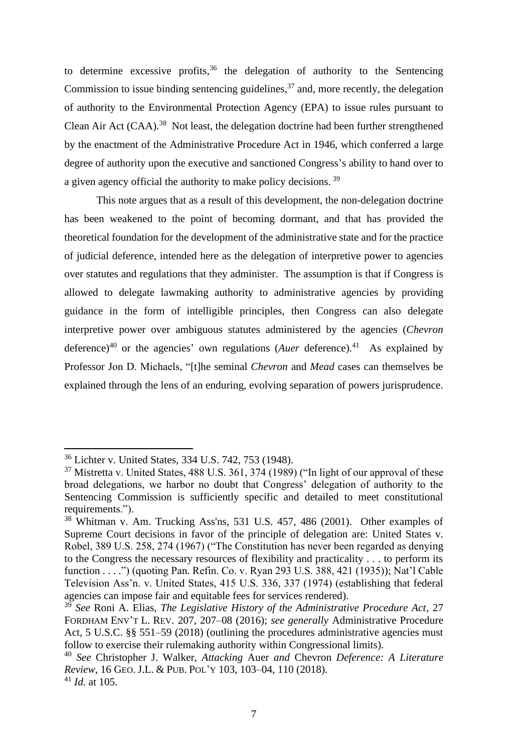to determine excessive profits,  $36$  the delegation of authority to the Sentencing Commission to issue binding sentencing guidelines,<sup>37</sup> and, more recently, the delegation of authority to the Environmental Protection Agency (EPA) to issue rules pursuant to Clean Air Act (CAA).<sup>38</sup> Not least, the delegation doctrine had been further strengthened by the enactment of the Administrative Procedure Act in 1946, which conferred a large degree of authority upon the executive and sanctioned Congress's ability to hand over to a given agency official the authority to make policy decisions. <sup>39</sup>

This note argues that as a result of this development, the non-delegation doctrine has been weakened to the point of becoming dormant, and that has provided the theoretical foundation for the development of the administrative state and for the practice of judicial deference, intended here as the delegation of interpretive power to agencies over statutes and regulations that they administer. The assumption is that if Congress is allowed to delegate lawmaking authority to administrative agencies by providing guidance in the form of intelligible principles, then Congress can also delegate interpretive power over ambiguous statutes administered by the agencies (*Chevron* deference)<sup>40</sup> or the agencies' own regulations (*Auer* deference).<sup>41</sup> As explained by Professor Jon D. Michaels, "[t]he seminal *Chevron* and *Mead* cases can themselves be explained through the lens of an enduring, evolving separation of powers jurisprudence.

<sup>36</sup> Lichter v. United States, 334 U.S. 742, 753 (1948).

<sup>&</sup>lt;sup>37</sup> Mistretta v. United States, 488 U.S. 361, 374 (1989) ("In light of our approval of these broad delegations, we harbor no doubt that Congress' delegation of authority to the Sentencing Commission is sufficiently specific and detailed to meet constitutional requirements.").

<sup>38</sup> Whitman v. Am. Trucking Ass'ns, 531 U.S. 457, 486 (2001). Other examples of Supreme Court decisions in favor of the principle of delegation are: United States v. Robel, 389 U.S. 258, 274 (1967) ("The Constitution has never been regarded as denying to the Congress the necessary resources of flexibility and practicality . . . to perform its function . . . .") (quoting Pan. Refin. Co. v. Ryan 293 U.S. 388, 421 (1935)); Nat'l Cable Television Ass'n. v. United States, 415 U.S. 336, 337 (1974) (establishing that federal agencies can impose fair and equitable fees for services rendered).

<sup>39</sup> *See* Roni A. Elias, *The Legislative History of the Administrative Procedure Act*, 27 FORDHAM ENV'T L. REV. 207, 207–08 (2016); *see generally* Administrative Procedure Act, 5 U.S.C. §§ 551–59 (2018) (outlining the procedures administrative agencies must follow to exercise their rulemaking authority within Congressional limits).

<sup>40</sup> *See* Christopher J. Walker, *Attacking* Auer *and* Chevron *Deference: A Literature Review*, 16 GEO. J.L. & PUB. POL'Y 103, 103–04, 110 (2018).

<sup>41</sup> *Id.* at 105.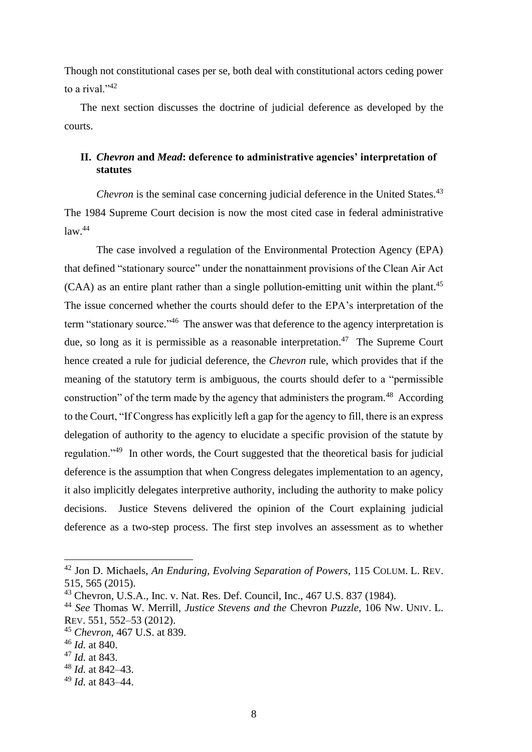Though not constitutional cases per se, both deal with constitutional actors ceding power to a rival. $1^{942}$ 

The next section discusses the doctrine of judicial deference as developed by the courts.

# **II.** *Chevron* **and** *Mead***: deference to administrative agencies' interpretation of statutes**

*Chevron* is the seminal case concerning judicial deference in the United States.<sup>43</sup> The 1984 Supreme Court decision is now the most cited case in federal administrative  $law<sup>44</sup>$ 

The case involved a regulation of the Environmental Protection Agency (EPA) that defined "stationary source" under the nonattainment provisions of the Clean Air Act (CAA) as an entire plant rather than a single pollution-emitting unit within the plant.<sup>45</sup> The issue concerned whether the courts should defer to the EPA's interpretation of the term "stationary source."<sup>46</sup> The answer was that deference to the agency interpretation is due, so long as it is permissible as a reasonable interpretation.<sup>47</sup> The Supreme Court hence created a rule for judicial deference, the *Chevron* rule, which provides that if the meaning of the statutory term is ambiguous, the courts should defer to a "permissible construction" of the term made by the agency that administers the program.<sup>48</sup> According to the Court, "If Congress has explicitly left a gap for the agency to fill, there is an express delegation of authority to the agency to elucidate a specific provision of the statute by regulation."<sup>49</sup> In other words, the Court suggested that the theoretical basis for judicial deference is the assumption that when Congress delegates implementation to an agency, it also implicitly delegates interpretive authority, including the authority to make policy decisions. Justice Stevens delivered the opinion of the Court explaining judicial deference as a two-step process. The first step involves an assessment as to whether

<sup>42</sup> Jon D. Michaels, *An Enduring, Evolving Separation of Powers*, 115 COLUM. L. REV. 515, 565 (2015).

<sup>43</sup> Chevron, U.S.A., Inc. v. Nat. Res. Def. Council, Inc., 467 U.S. 837 (1984).

<sup>44</sup> *See* Thomas W. Merrill, *Justice Stevens and the* Chevron *Puzzle*, 106 NW. UNIV. L. REV. 551, 552–53 (2012).

<sup>45</sup> *Chevron*, 467 U.S. at 839.

<sup>46</sup> *Id.* at 840.

<sup>47</sup> *Id.* at 843.

<sup>48</sup> *Id.* at 842–43.

<sup>49</sup> *Id.* at 843–44.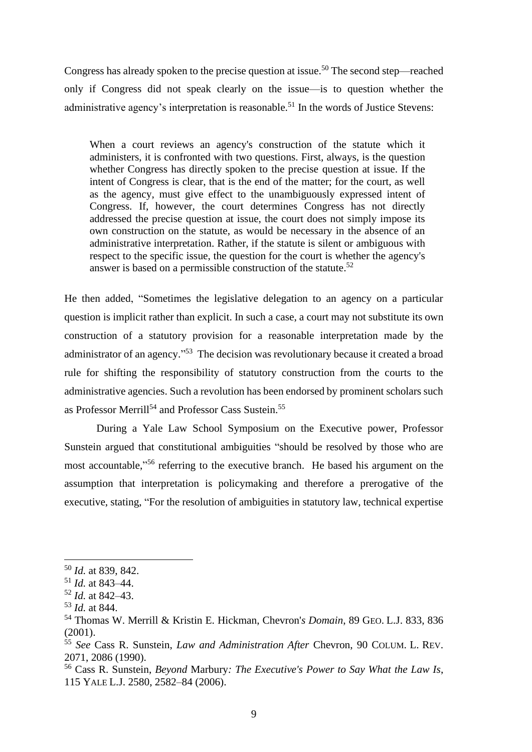Congress has already spoken to the precise question at issue.<sup>50</sup> The second step—reached only if Congress did not speak clearly on the issue—is to question whether the administrative agency's interpretation is reasonable.<sup>51</sup> In the words of Justice Stevens:

When a court reviews an agency's construction of the statute which it administers, it is confronted with two questions. First, always, is the question whether Congress has directly spoken to the precise question at issue. If the intent of Congress is clear, that is the end of the matter; for the court, as well as the agency, must give effect to the unambiguously expressed intent of Congress. If, however, the court determines Congress has not directly addressed the precise question at issue, the court does not simply impose its own construction on the statute, as would be necessary in the absence of an administrative interpretation. Rather, if the statute is silent or ambiguous with respect to the specific issue, the question for the court is whether the agency's answer is based on a permissible construction of the statute.<sup>52</sup>

He then added, "Sometimes the legislative delegation to an agency on a particular question is implicit rather than explicit. In such a case, a court may not substitute its own construction of a statutory provision for a reasonable interpretation made by the administrator of an agency."<sup>53</sup> The decision was revolutionary because it created a broad rule for shifting the responsibility of statutory construction from the courts to the administrative agencies. Such a revolution has been endorsed by prominent scholars such as Professor Merrill<sup>54</sup> and Professor Cass Sustein.<sup>55</sup>

During a Yale Law School Symposium on the Executive power, Professor Sunstein argued that constitutional ambiguities "should be resolved by those who are most accountable," <sup>56</sup> referring to the executive branch. He based his argument on the assumption that interpretation is policymaking and therefore a prerogative of the executive, stating, "For the resolution of ambiguities in statutory law, technical expertise

<sup>50</sup> *Id.* at 839, 842.

<sup>51</sup> *Id.* at 843–44.

<sup>52</sup> *Id.* at 842–43.

<sup>53</sup> *Id.* at 844.

<sup>54</sup> Thomas W. Merrill & Kristin E. Hickman, Chevron'*s Domain*, 89 GEO. L.J. 833, 836  $(2001)$ .

<sup>55</sup> *See* Cass R. Sunstein, *Law and Administration After* Chevron, 90 COLUM. L. REV. 2071, 2086 (1990).

<sup>56</sup> Cass R. Sunstein, *Beyond* Marbury*: The Executive's Power to Say What the Law Is*, 115 YALE L.J. 2580, 2582–84 (2006).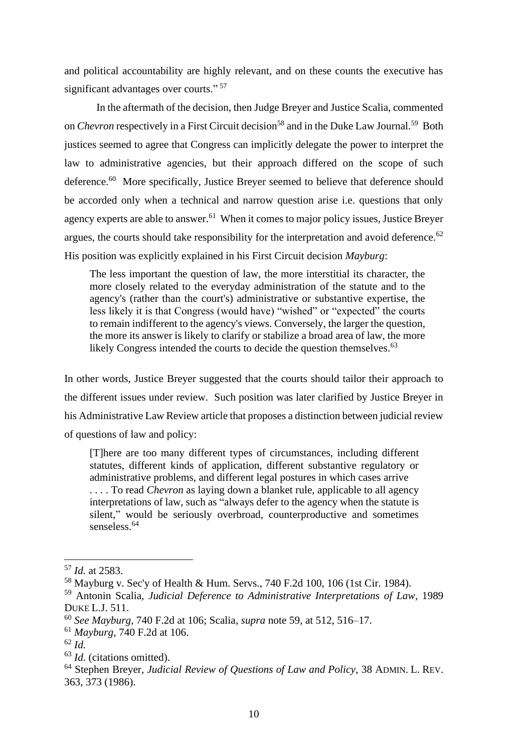and political accountability are highly relevant, and on these counts the executive has significant advantages over courts."<sup>57</sup>

In the aftermath of the decision, then Judge Breyer and Justice Scalia, commented on *Chevron* respectively in a First Circuit decision<sup>58</sup> and in the Duke Law Journal.<sup>59</sup> Both justices seemed to agree that Congress can implicitly delegate the power to interpret the law to administrative agencies, but their approach differed on the scope of such deference.<sup>60</sup> More specifically, Justice Breyer seemed to believe that deference should be accorded only when a technical and narrow question arise i.e. questions that only agency experts are able to answer.<sup>61</sup> When it comes to major policy issues, Justice Breyer argues, the courts should take responsibility for the interpretation and avoid deference.<sup>62</sup> His position was explicitly explained in his First Circuit decision *Mayburg*:

The less important the question of law, the more interstitial its character, the more closely related to the everyday administration of the statute and to the agency's (rather than the court's) administrative or substantive expertise, the less likely it is that Congress (would have) "wished" or "expected" the courts to remain indifferent to the agency's views. Conversely, the larger the question, the more its answer is likely to clarify or stabilize a broad area of law, the more likely Congress intended the courts to decide the question themselves.<sup>63</sup>

In other words, Justice Breyer suggested that the courts should tailor their approach to the different issues under review. Such position was later clarified by Justice Breyer in his Administrative Law Review article that proposes a distinction between judicial review of questions of law and policy:

[T]here are too many different types of circumstances, including different statutes, different kinds of application, different substantive regulatory or administrative problems, and different legal postures in which cases arrive . . . . To read *Chevron* as laying down a blanket rule, applicable to all agency interpretations of law, such as "always defer to the agency when the statute is silent," would be seriously overbroad, counterproductive and sometimes senseless.<sup>64</sup>

<sup>57</sup> *Id.* at 2583.

<sup>58</sup> Mayburg v. Sec'y of Health & Hum. Servs., 740 F.2d 100, 106 (1st Cir. 1984).

<sup>59</sup> Antonin Scalia, *Judicial Deference to Administrative Interpretations of Law*, 1989 DUKE L.J. 511.

<sup>60</sup> *See Mayburg*, 740 F.2d at 106; Scalia, *supra* note 59, at 512, 516–17.

<sup>61</sup> *Mayburg*, 740 F.2d at 106.

<sup>62</sup> *Id.*

<sup>63</sup> *Id.* (citations omitted).

<sup>64</sup> Stephen Breyer, *Judicial Review of Questions of Law and Policy*, 38 ADMIN. L. REV. 363, 373 (1986).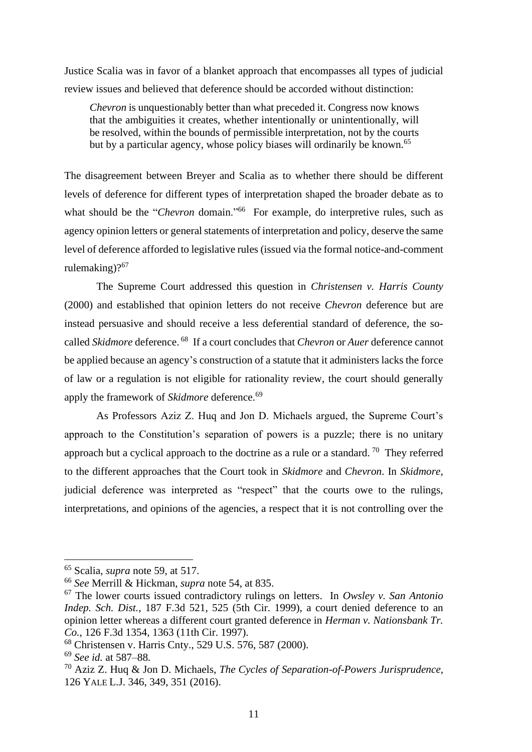Justice Scalia was in favor of a blanket approach that encompasses all types of judicial review issues and believed that deference should be accorded without distinction:

*Chevron* is unquestionably better than what preceded it. Congress now knows that the ambiguities it creates, whether intentionally or unintentionally, will be resolved, within the bounds of permissible interpretation, not by the courts but by a particular agency, whose policy biases will ordinarily be known.<sup>65</sup>

The disagreement between Breyer and Scalia as to whether there should be different levels of deference for different types of interpretation shaped the broader debate as to what should be the "*Chevron* domain."<sup>66</sup> For example, do interpretive rules, such as agency opinion letters or general statements of interpretation and policy, deserve the same level of deference afforded to legislative rules (issued via the formal notice-and-comment rulemaking)?<sup>67</sup>

The Supreme Court addressed this question in *Christensen v. Harris County* (2000) and established that opinion letters do not receive *Chevron* deference but are instead persuasive and should receive a less deferential standard of deference, the socalled *Skidmore* deference. <sup>68</sup> If a court concludes that *Chevron* or *Auer* deference cannot be applied because an agency's construction of a statute that it administers lacks the force of law or a regulation is not eligible for rationality review, the court should generally apply the framework of *Skidmore* deference. 69

As Professors Aziz Z. Huq and Jon D. Michaels argued, the Supreme Court's approach to the Constitution's separation of powers is a puzzle; there is no unitary approach but a cyclical approach to the doctrine as a rule or a standard. <sup>70</sup> They referred to the different approaches that the Court took in *Skidmore* and *Chevron*. In *Skidmore*, judicial deference was interpreted as "respect" that the courts owe to the rulings, interpretations, and opinions of the agencies, a respect that it is not controlling over the

<sup>65</sup> Scalia, *supra* note 59, at 517.

<sup>66</sup> *See* Merrill & Hickman, *supra* note 54, at 835.

<sup>67</sup> The lower courts issued contradictory rulings on letters. In *Owsley v. San Antonio Indep. Sch. Dist.*, 187 F.3d 521, 525 (5th Cir. 1999), a court denied deference to an opinion letter whereas a different court granted deference in *Herman v. Nationsbank Tr. Co.*, 126 F.3d 1354, 1363 (11th Cir. 1997).

<sup>68</sup> Christensen v. Harris Cnty., 529 U.S. 576, 587 (2000).

<sup>69</sup> *See id.* at 587–88*.*

<sup>70</sup> Aziz Z. Huq & Jon D. Michaels, *The Cycles of Separation-of-Powers Jurisprudence,* 126 YALE L.J. 346, 349, 351 (2016).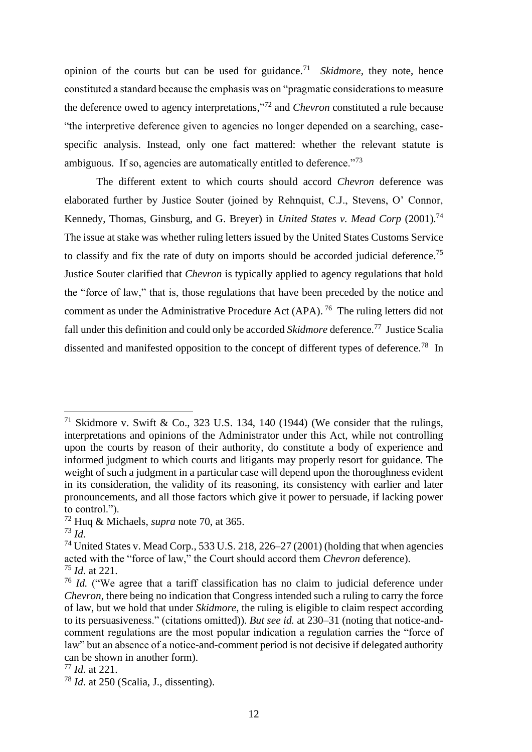opinion of the courts but can be used for guidance.<sup>71</sup> *Skidmore,* they note, hence constituted a standard because the emphasis was on "pragmatic considerations to measure the deference owed to agency interpretations," <sup>72</sup> and *Chevron* constituted a rule because "the interpretive deference given to agencies no longer depended on a searching, casespecific analysis. Instead, only one fact mattered: whether the relevant statute is ambiguous. If so, agencies are automatically entitled to deference."<sup>73</sup>

The different extent to which courts should accord *Chevron* deference was elaborated further by Justice Souter (joined by Rehnquist, C.J., Stevens, O' Connor, Kennedy, Thomas, Ginsburg, and G. Breyer) in *United States v. Mead Corp* (2001).<sup>74</sup> The issue at stake was whether ruling letters issued by the United States Customs Service to classify and fix the rate of duty on imports should be accorded judicial deference.<sup>75</sup> Justice Souter clarified that *Chevron* is typically applied to agency regulations that hold the "force of law," that is, those regulations that have been preceded by the notice and comment as under the Administrative Procedure Act (APA).<sup>76</sup> The ruling letters did not fall under this definition and could only be accorded *Skidmore* deference.<sup>77</sup> Justice Scalia dissented and manifested opposition to the concept of different types of deference.<sup>78</sup> In

<sup>&</sup>lt;sup>71</sup> Skidmore v. Swift & Co., 323 U.S. 134, 140 (1944) (We consider that the rulings, interpretations and opinions of the Administrator under this Act, while not controlling upon the courts by reason of their authority, do constitute a body of experience and informed judgment to which courts and litigants may properly resort for guidance. The weight of such a judgment in a particular case will depend upon the thoroughness evident in its consideration, the validity of its reasoning, its consistency with earlier and later pronouncements, and all those factors which give it power to persuade, if lacking power to control.").

<sup>72</sup> Huq & Michaels, *supra* note 70, at 365.

<sup>73</sup> *Id.*

<sup>&</sup>lt;sup>74</sup> United States v. Mead Corp., 533 U.S. 218, 226–27 (2001) (holding that when agencies acted with the "force of law," the Court should accord them *Chevron* deference). <sup>75</sup> *Id.* at 221.

<sup>76</sup> *Id.* ("We agree that a tariff classification has no claim to judicial deference under *Chevron*, there being no indication that Congress intended such a ruling to carry the force of law, but we hold that under *Skidmore*, the ruling is eligible to claim respect according to its persuasiveness." (citations omitted)). *But see id.* at 230–31 (noting that notice-andcomment regulations are the most popular indication a regulation carries the "force of law" but an absence of a notice-and-comment period is not decisive if delegated authority can be shown in another form).

<sup>77</sup> *Id.* at 221.

<sup>78</sup> *Id.* at 250 (Scalia, J., dissenting).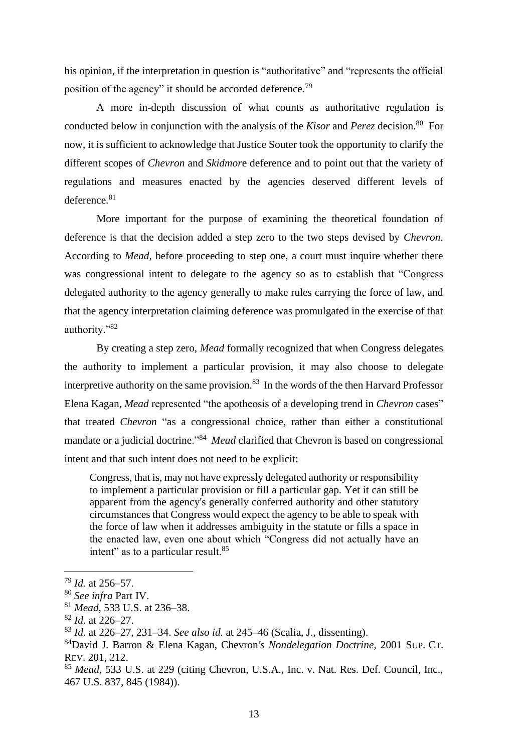his opinion, if the interpretation in question is "authoritative" and "represents the official position of the agency" it should be accorded deference.<sup>79</sup>

A more in-depth discussion of what counts as authoritative regulation is conducted below in conjunction with the analysis of the *Kisor* and *Perez* decision.<sup>80</sup> For now, it is sufficient to acknowledge that Justice Souter took the opportunity to clarify the different scopes of *Chevron* and *Skidmor*e deference and to point out that the variety of regulations and measures enacted by the agencies deserved different levels of deference.<sup>81</sup>

More important for the purpose of examining the theoretical foundation of deference is that the decision added a step zero to the two steps devised by *Chevron*. According to *Mead,* before proceeding to step one, a court must inquire whether there was congressional intent to delegate to the agency so as to establish that "Congress delegated authority to the agency generally to make rules carrying the force of law, and that the agency interpretation claiming deference was promulgated in the exercise of that authority."<sup>82</sup>

By creating a step zero, *Mead* formally recognized that when Congress delegates the authority to implement a particular provision, it may also choose to delegate interpretive authority on the same provision. $83$  In the words of the then Harvard Professor Elena Kagan, *Mead* represented "the apotheosis of a developing trend in *Chevron* cases" that treated *Chevron* "as a congressional choice, rather than either a constitutional mandate or a judicial doctrine."<sup>84</sup> *Mead* clarified that Chevron is based on congressional intent and that such intent does not need to be explicit:

Congress, that is, may not have expressly delegated authority or responsibility to implement a particular provision or fill a particular gap. Yet it can still be apparent from the agency's generally conferred authority and other statutory circumstances that Congress would expect the agency to be able to speak with the force of law when it addresses ambiguity in the statute or fills a space in the enacted law, even one about which "Congress did not actually have an intent" as to a particular result.<sup>85</sup>

<sup>79</sup> *Id.* at 256–57.

<sup>80</sup> *See infra* Part IV.

<sup>81</sup> *Mead*, 533 U.S. at 236–38.

<sup>82</sup> *Id.* at 226–27.

<sup>83</sup> *Id.* at 226–27, 231–34. *See also id.* at 245–46 (Scalia, J., dissenting).

<sup>84</sup>David J. Barron & Elena Kagan, Chevron*'s Nondelegation Doctrine*, 2001 SUP. CT. REV. 201, 212.

<sup>85</sup> *Mead*, 533 U.S. at 229 (citing Chevron, U.S.A., Inc. v. Nat. Res. Def. Council, Inc., 467 U.S. 837, 845 (1984)).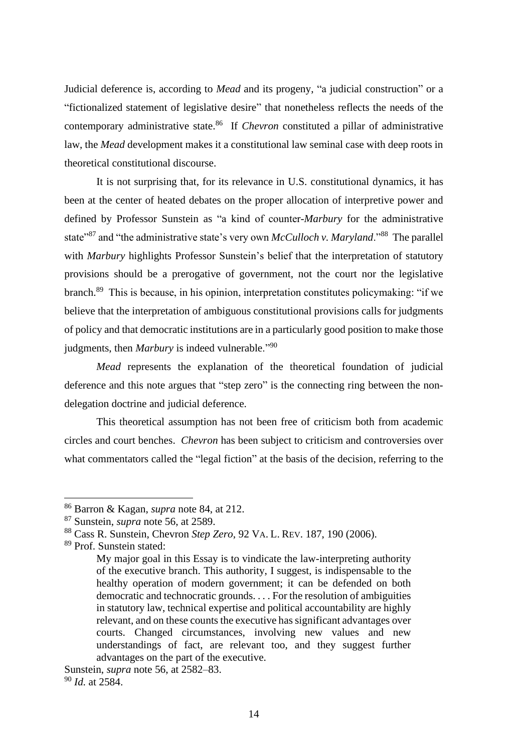Judicial deference is, according to *Mead* and its progeny, "a judicial construction" or a "fictionalized statement of legislative desire" that nonetheless reflects the needs of the contemporary administrative state. <sup>86</sup> If *Chevron* constituted a pillar of administrative law, the *Mead* development makes it a constitutional law seminal case with deep roots in theoretical constitutional discourse.

It is not surprising that, for its relevance in U.S. constitutional dynamics, it has been at the center of heated debates on the proper allocation of interpretive power and defined by Professor Sunstein as "a kind of counter-*Marbury* for the administrative state<sup>387</sup> and "the administrative state's very own *McCulloch v. Maryland*."<sup>88</sup> The parallel with *Marbury* highlights Professor Sunstein's belief that the interpretation of statutory provisions should be a prerogative of government, not the court nor the legislative branch.<sup>89</sup> This is because, in his opinion, interpretation constitutes policymaking: "if we believe that the interpretation of ambiguous constitutional provisions calls for judgments of policy and that democratic institutions are in a particularly good position to make those judgments, then *Marbury* is indeed vulnerable."<sup>90</sup>

*Mead* represents the explanation of the theoretical foundation of judicial deference and this note argues that "step zero" is the connecting ring between the nondelegation doctrine and judicial deference.

This theoretical assumption has not been free of criticism both from academic circles and court benches. *Chevron* has been subject to criticism and controversies over what commentators called the "legal fiction" at the basis of the decision, referring to the

<sup>86</sup> Barron & Kagan, *supra* note 84, at 212.

<sup>87</sup> Sunstein, *supra* note 56, at 2589.

<sup>88</sup> Cass R. Sunstein, Chevron *Step Zero*, 92 VA. L. REV. 187, 190 (2006).

<sup>89</sup> Prof. Sunstein stated:

My major goal in this Essay is to vindicate the law-interpreting authority of the executive branch. This authority, I suggest, is indispensable to the healthy operation of modern government; it can be defended on both democratic and technocratic grounds. . . . For the resolution of ambiguities in statutory law, technical expertise and political accountability are highly relevant, and on these counts the executive has significant advantages over courts. Changed circumstances, involving new values and new understandings of fact, are relevant too, and they suggest further advantages on the part of the executive.

Sunstein, *supra* note 56, at 2582–83. <sup>90</sup> *Id.* at 2584.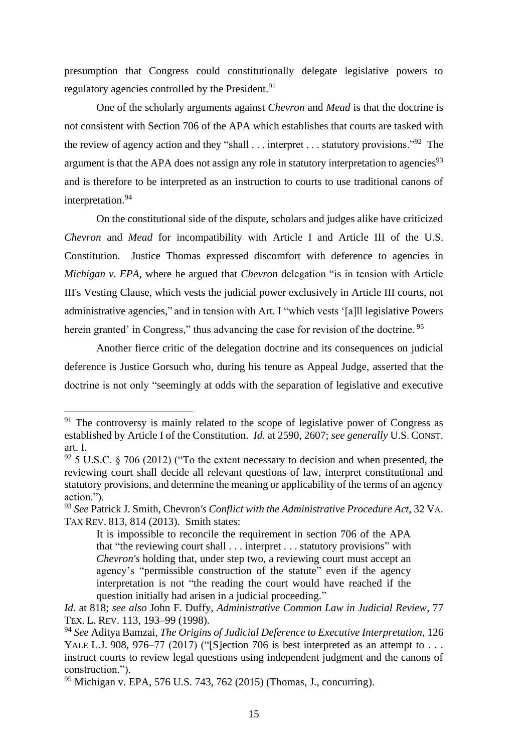presumption that Congress could constitutionally delegate legislative powers to regulatory agencies controlled by the President.<sup>91</sup>

One of the scholarly arguments against *Chevron* and *Mead* is that the doctrine is not consistent with Section 706 of the APA which establishes that courts are tasked with the review of agency action and they "shall  $\ldots$  interpret  $\ldots$  statutory provisions."<sup>92</sup> The argument is that the APA does not assign any role in statutory interpretation to agencies<sup>93</sup> and is therefore to be interpreted as an instruction to courts to use traditional canons of interpretation. 94

On the constitutional side of the dispute, scholars and judges alike have criticized *Chevron* and *Mead* for incompatibility with Article I and Article III of the U.S. Constitution. Justice Thomas expressed discomfort with deference to agencies in *Michigan v. EPA*, where he argued that *Chevron* delegation "is in tension with Article III's Vesting Clause, which vests the judicial power exclusively in Article III courts, not administrative agencies," and in tension with Art. I "which vests '[a]ll legislative Powers herein granted' in Congress," thus advancing the case for revision of the doctrine.<sup>95</sup>

Another fierce critic of the delegation doctrine and its consequences on judicial deference is Justice Gorsuch who, during his tenure as Appeal Judge, asserted that the doctrine is not only "seemingly at odds with the separation of legislative and executive

 $91$  The controversy is mainly related to the scope of legislative power of Congress as established by Article I of the Constitution. *Id.* at 2590, 2607; *see generally* U.S. CONST. art. I.

 $92$  5 U.S.C. § 706 (2012) ("To the extent necessary to decision and when presented, the reviewing court shall decide all relevant questions of law, interpret constitutional and statutory provisions, and determine the meaning or applicability of the terms of an agency action.").

<sup>93</sup> *See* Patrick J. Smith, Chevron*'s Conflict with the Administrative Procedure Act,* 32 VA. TAX REV. 813, 814 (2013). Smith states:

It is impossible to reconcile the requirement in section 706 of the APA that "the reviewing court shall . . . interpret . . . statutory provisions" with *Chevron's* holding that, under step two, a reviewing court must accept an agency's "permissible construction of the statute" even if the agency interpretation is not "the reading the court would have reached if the question initially had arisen in a judicial proceeding."

*Id.* at 818; *see also* John F. Duffy, *Administrative Common Law in Judicial Review*, 77 TEX. L. REV. 113, 193–99 (1998).

<sup>94</sup> *See* Aditya Bamzai, *The Origins of Judicial Deference to Executive Interpretation,* 126 YALE L.J. 908, 976–77 (2017) ("[S]ection 706 is best interpreted as an attempt to  $\dots$ instruct courts to review legal questions using independent judgment and the canons of construction.").

<sup>95</sup> Michigan v. EPA, 576 U.S. 743, 762 (2015) (Thomas, J., concurring).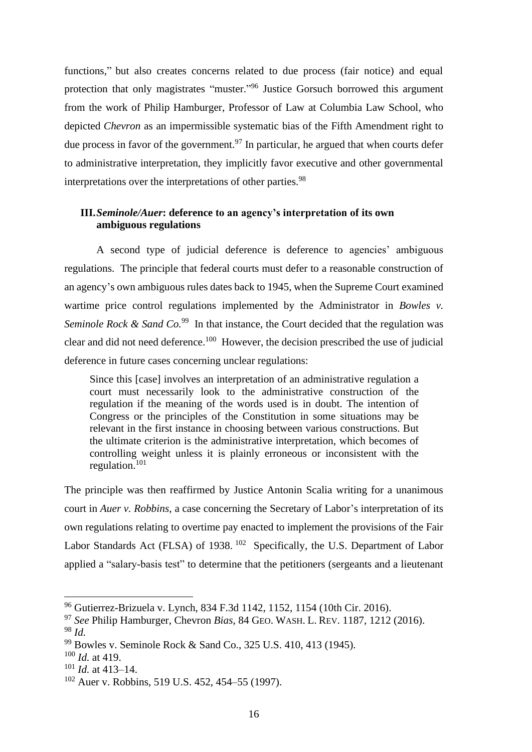functions," but also creates concerns related to due process (fair notice) and equal protection that only magistrates "muster."<sup>96</sup> Justice Gorsuch borrowed this argument from the work of Philip Hamburger, Professor of Law at Columbia Law School, who depicted *Chevron* as an impermissible systematic bias of the Fifth Amendment right to due process in favor of the government.<sup>97</sup> In particular, he argued that when courts defer to administrative interpretation, they implicitly favor executive and other governmental interpretations over the interpretations of other parties.<sup>98</sup>

## **III.***Seminole/Auer***: deference to an agency's interpretation of its own ambiguous regulations**

A second type of judicial deference is deference to agencies' ambiguous regulations. The principle that federal courts must defer to a reasonable construction of an agency's own ambiguous rules dates back to 1945, when the Supreme Court examined wartime price control regulations implemented by the Administrator in *Bowles v*. *Seminole Rock & Sand Co.*<sup>99</sup> In that instance, the Court decided that the regulation was clear and did not need deference.<sup>100</sup> However, the decision prescribed the use of judicial deference in future cases concerning unclear regulations:

Since this [case] involves an interpretation of an administrative regulation a court must necessarily look to the administrative construction of the regulation if the meaning of the words used is in doubt. The intention of Congress or the principles of the Constitution in some situations may be relevant in the first instance in choosing between various constructions. But the ultimate criterion is the administrative interpretation, which becomes of controlling weight unless it is plainly erroneous or inconsistent with the regulation.<sup>101</sup>

The principle was then reaffirmed by Justice Antonin Scalia writing for a unanimous court in *Auer v. Robbins*, a case concerning the Secretary of Labor's interpretation of its own regulations relating to overtime pay enacted to implement the provisions of the Fair Labor Standards Act (FLSA) of 1938. <sup>102</sup> Specifically, the U.S. Department of Labor applied a "salary-basis test" to determine that the petitioners (sergeants and a lieutenant

<sup>96</sup> Gutierrez-Brizuela v. Lynch, 834 F.3d 1142, 1152, 1154 (10th Cir. 2016).

<sup>97</sup> *See* Philip Hamburger, Chevron *Bias*, 84 GEO. WASH. L. REV. 1187, 1212 (2016). <sup>98</sup> *Id.*

<sup>99</sup> Bowles v. Seminole Rock & Sand Co., 325 U.S. 410, 413 (1945).

<sup>100</sup> *Id.* at 419.

<sup>101</sup> *Id.* at 413–14.

<sup>102</sup> Auer v. Robbins, 519 U.S. 452, 454–55 (1997).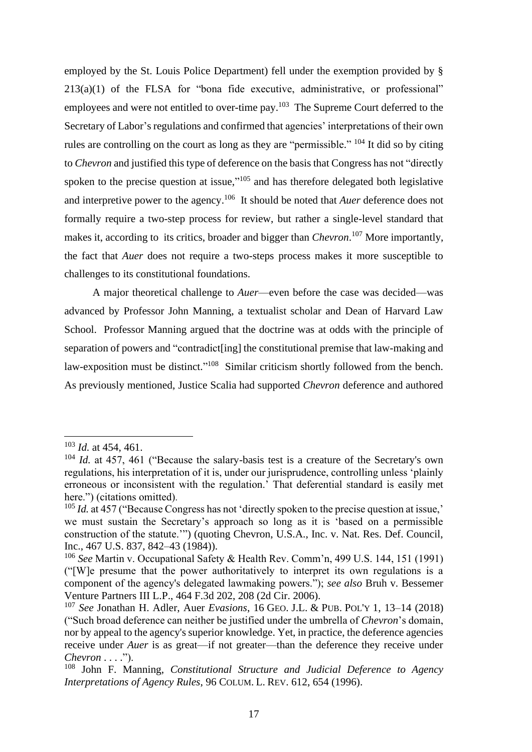employed by the St. Louis Police Department) fell under the exemption provided by § 213(a)(1) of the FLSA for "bona fide executive, administrative, or professional" employees and were not entitled to over-time pay.<sup>103</sup> The Supreme Court deferred to the Secretary of Labor's regulations and confirmed that agencies' interpretations of their own rules are controlling on the court as long as they are "permissible."  $104$  It did so by citing to *Chevron* and justified this type of deference on the basis that Congress has not "directly spoken to the precise question at issue,"<sup>105</sup> and has therefore delegated both legislative and interpretive power to the agency. <sup>106</sup> It should be noted that *Auer* deference does not formally require a two-step process for review, but rather a single-level standard that makes it, according to its critics, broader and bigger than *Chevron*. <sup>107</sup> More importantly, the fact that *Auer* does not require a two-steps process makes it more susceptible to challenges to its constitutional foundations.

A major theoretical challenge to *Auer*—even before the case was decided—was advanced by Professor John Manning, a textualist scholar and Dean of Harvard Law School. Professor Manning argued that the doctrine was at odds with the principle of separation of powers and "contradict[ing] the constitutional premise that law-making and law-exposition must be distinct."<sup>108</sup> Similar criticism shortly followed from the bench. As previously mentioned, Justice Scalia had supported *Chevron* deference and authored

<sup>103</sup> *Id.* at 454, 461.

<sup>104</sup> *Id.* at 457, 461 ("Because the salary-basis test is a creature of the Secretary's own regulations, his interpretation of it is, under our jurisprudence, controlling unless 'plainly erroneous or inconsistent with the regulation.' That deferential standard is easily met here.") (citations omitted).

<sup>&</sup>lt;sup>105</sup> *Id.* at 457 ("Because Congress has not 'directly spoken to the precise question at issue,' we must sustain the Secretary's approach so long as it is 'based on a permissible construction of the statute.'") (quoting Chevron, U.S.A., Inc. v. Nat. Res. Def. Council, Inc., 467 U.S. 837, 842–43 (1984)).

<sup>106</sup> *See* Martin v. Occupational Safety & Health Rev. Comm'n, 499 U.S. 144, 151 (1991) ("[W]e presume that the power authoritatively to interpret its own regulations is a component of the agency's delegated lawmaking powers."); *see also* Bruh v. Bessemer Venture Partners III L.P., 464 F.3d 202, 208 (2d Cir. 2006).

<sup>107</sup> *See* Jonathan H. Adler, Auer *Evasions*, 16 GEO. J.L. & PUB. POL'Y 1, 13–14 (2018) ("Such broad deference can neither be justified under the umbrella of *Chevron*'s domain, nor by appeal to the agency's superior knowledge. Yet, in practice, the deference agencies receive under *Auer* is as great—if not greater—than the deference they receive under *Chevron* . . . .").

<sup>108</sup> John F. Manning, *Constitutional Structure and Judicial Deference to Agency Interpretations of Agency Rules*, 96 COLUM. L. REV. 612, 654 (1996).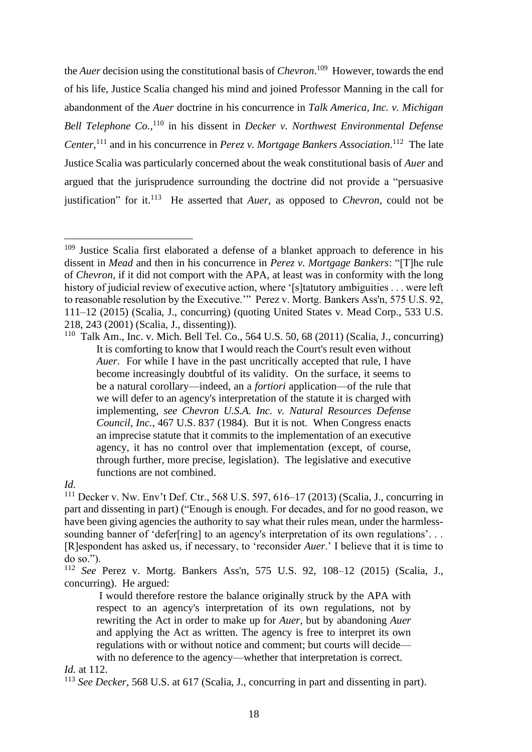the *Auer* decision using the constitutional basis of *Chevron*. <sup>109</sup> However, towards the end of his life, Justice Scalia changed his mind and joined Professor Manning in the call for abandonment of the *Auer* doctrine in his concurrence in *Talk America, Inc. v. Michigan Bell Telephone Co.*,<sup>110</sup> in his dissent in *Decker v. Northwest Environmental Defense Center*, <sup>111</sup> and in his concurrence in *Perez v. Mortgage Bankers Association*. <sup>112</sup> The late Justice Scalia was particularly concerned about the weak constitutional basis of *Auer* and argued that the jurisprudence surrounding the doctrine did not provide a "persuasive justification" for it. 113 He asserted that *Auer,* as opposed to *Chevron*, could not be

<sup>111</sup> Decker v. Nw. Env't Def. Ctr., 568 U.S. 597, 616–17 (2013) (Scalia, J., concurring in part and dissenting in part) ("Enough is enough. For decades, and for no good reason, we have been giving agencies the authority to say what their rules mean, under the harmlesssounding banner of 'defer[ring] to an agency's interpretation of its own regulations'... [R]espondent has asked us, if necessary, to 'reconsider *Auer*.' I believe that it is time to do so.").

<sup>112</sup> *See* Perez v. Mortg. Bankers Ass'n, 575 U.S. 92, 108–12 (2015) (Scalia, J., concurring). He argued:

I would therefore restore the balance originally struck by the APA with respect to an agency's interpretation of its own regulations, not by rewriting the Act in order to make up for *Auer*, but by abandoning *Auer*  and applying the Act as written. The agency is free to interpret its own regulations with or without notice and comment; but courts will decide with no deference to the agency—whether that interpretation is correct.

## *Id.* at 112.

<sup>113</sup> *See Decker*, 568 U.S. at 617 (Scalia, J., concurring in part and dissenting in part).

 $109$  Justice Scalia first elaborated a defense of a blanket approach to deference in his dissent in *Mead* and then in his concurrence in *Perez v. Mortgage Bankers*: "[T]he rule of *Chevron*, if it did not comport with the APA, at least was in conformity with the long history of judicial review of executive action, where '[s]tatutory ambiguities . . . were left to reasonable resolution by the Executive.'" Perez v. Mortg. Bankers Ass'n, 575 U.S. 92, 111–12 (2015) (Scalia, J., concurring) (quoting United States v. Mead Corp., 533 U.S. 218, 243 (2001) (Scalia, J., dissenting)).

<sup>110</sup> Talk Am., Inc. v. Mich. Bell Tel. Co., 564 U.S. 50, 68 (2011) (Scalia, J., concurring) It is comforting to know that I would reach the Court's result even without *Auer*. For while I have in the past uncritically accepted that rule, I have become increasingly doubtful of its validity. On the surface, it seems to be a natural corollary—indeed, an a *fortiori* application—of the rule that we will defer to an agency's interpretation of the statute it is charged with implementing, *see Chevron U.S.A. Inc. v. Natural Resources Defense Council, Inc.*, 467 U.S. 837 (1984). But it is not. When Congress enacts an imprecise statute that it commits to the implementation of an executive agency, it has no control over that implementation (except, of course, through further, more precise, legislation). The legislative and executive functions are not combined.

*Id.*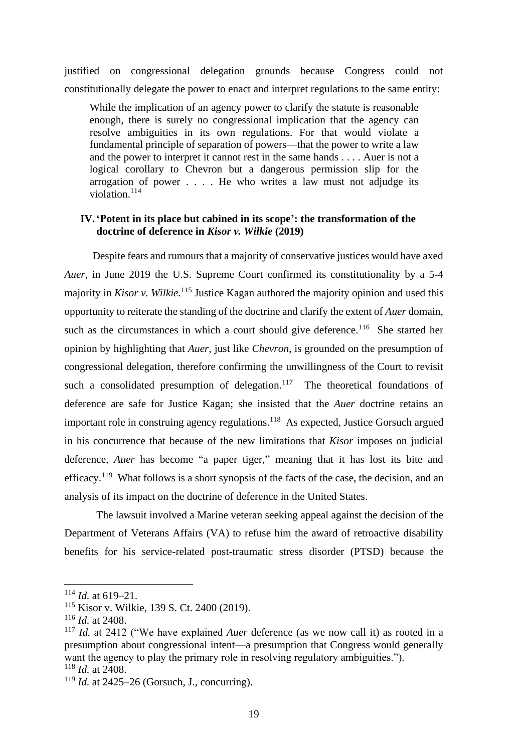justified on congressional delegation grounds because Congress could not constitutionally delegate the power to enact and interpret regulations to the same entity:

While the implication of an agency power to clarify the statute is reasonable enough, there is surely no congressional implication that the agency can resolve ambiguities in its own regulations. For that would violate a fundamental principle of separation of powers—that the power to write a law and the power to interpret it cannot rest in the same hands . . . . Auer is not a logical corollary to Chevron but a dangerous permission slip for the arrogation of power . . . . He who writes a law must not adjudge its violation.<sup>114</sup>

#### **IV.'Potent in its place but cabined in its scope': the transformation of the doctrine of deference in** *Kisor v. Wilkie* **(2019)**

Despite fears and rumours that a majority of conservative justices would have axed *Auer*, in June 2019 the U.S. Supreme Court confirmed its constitutionality by a 5-4 majority in *Kisor v. Wilkie*.<sup>115</sup> Justice Kagan authored the majority opinion and used this opportunity to reiterate the standing of the doctrine and clarify the extent of *Auer* domain, such as the circumstances in which a court should give deference.<sup>116</sup> She started her opinion by highlighting that *Auer*, just like *Chevron*, is grounded on the presumption of congressional delegation, therefore confirming the unwillingness of the Court to revisit such a consolidated presumption of delegation.<sup>117</sup> The theoretical foundations of deference are safe for Justice Kagan; she insisted that the *Auer* doctrine retains an important role in construing agency regulations.<sup>118</sup> As expected, Justice Gorsuch argued in his concurrence that because of the new limitations that *Kisor* imposes on judicial deference, *Auer* has become "a paper tiger," meaning that it has lost its bite and efficacy.<sup>119</sup> What follows is a short synopsis of the facts of the case, the decision, and an analysis of its impact on the doctrine of deference in the United States.

The lawsuit involved a Marine veteran seeking appeal against the decision of the Department of Veterans Affairs (VA) to refuse him the award of retroactive disability benefits for his service-related post-traumatic stress disorder (PTSD) because the

<sup>114</sup> *Id.* at 619–21.

<sup>115</sup> Kisor v. Wilkie, 139 S. Ct. 2400 (2019).

<sup>116</sup> *Id.* at 2408.

<sup>117</sup> *Id.* at 2412 ("We have explained *Auer* deference (as we now call it) as rooted in a presumption about congressional intent—a presumption that Congress would generally want the agency to play the primary role in resolving regulatory ambiguities."). <sup>118</sup> *Id.* at 2408.

<sup>119</sup> *Id.* at 2425–26 (Gorsuch, J., concurring).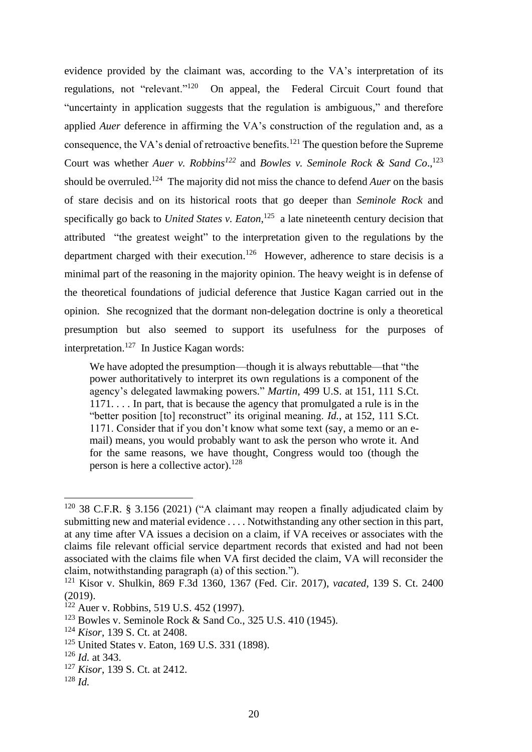evidence provided by the claimant was, according to the VA's interpretation of its regulations, not "relevant."<sup>120</sup> On appeal, the Federal Circuit Court found that "uncertainty in application suggests that the regulation is ambiguous," and therefore applied *Auer* deference in affirming the VA's construction of the regulation and, as a consequence, the VA's denial of retroactive benefits.<sup>121</sup> The question before the Supreme Court was whether *Auer v. Robbins<sup>122</sup>* and *Bowles v. Seminole Rock & Sand Co*., 123 should be overruled.<sup>124</sup> The majority did not miss the chance to defend *Auer* on the basis of stare decisis and on its historical roots that go deeper than *Seminole Rock* and specifically go back to *United States v. Eaton*,<sup>125</sup> a late nineteenth century decision that attributed "the greatest weight" to the interpretation given to the regulations by the department charged with their execution.<sup>126</sup> However, adherence to stare decisis is a minimal part of the reasoning in the majority opinion. The heavy weight is in defense of the theoretical foundations of judicial deference that Justice Kagan carried out in the opinion. She recognized that the dormant non-delegation doctrine is only a theoretical presumption but also seemed to support its usefulness for the purposes of interpretation.<sup>127</sup> In Justice Kagan words:

We have adopted the presumption—though it is always rebuttable—that "the power authoritatively to interpret its own regulations is a component of the agency's delegated lawmaking powers." *Martin*, 499 U.S. at 151, 111 S.Ct. 1171. . . . In part, that is because the agency that promulgated a rule is in the "better position [to] reconstruct" its original meaning. *Id.*, at 152, 111 S.Ct. 1171. Consider that if you don't know what some text (say, a memo or an email) means, you would probably want to ask the person who wrote it. And for the same reasons, we have thought, Congress would too (though the person is here a collective actor). $128$ 

 $120$  38 C.F.R. § 3.156 (2021) ("A claimant may reopen a finally adjudicated claim by submitting new and material evidence . . . . Notwithstanding any other section in this part, at any time after VA issues a decision on a claim, if VA receives or associates with the claims file relevant official service department records that existed and had not been associated with the claims file when VA first decided the claim, VA will reconsider the claim, notwithstanding paragraph (a) of this section.").

<sup>121</sup> Kisor v. Shulkin, 869 F.3d 1360, 1367 (Fed. Cir. 2017), *vacated*, 139 S. Ct. 2400 (2019).

<sup>&</sup>lt;sup>122</sup> Auer v. Robbins, 519 U.S. 452 (1997).

<sup>123</sup> Bowles v. Seminole Rock & Sand Co., 325 U.S. 410 (1945).

<sup>124</sup> *Kisor*, 139 S. Ct. at 2408.

<sup>125</sup> United States v. Eaton, 169 U.S. 331 (1898).

<sup>126</sup> *Id.* at 343.

<sup>127</sup> *Kisor*, 139 S. Ct. at 2412.

<sup>128</sup> *Id.*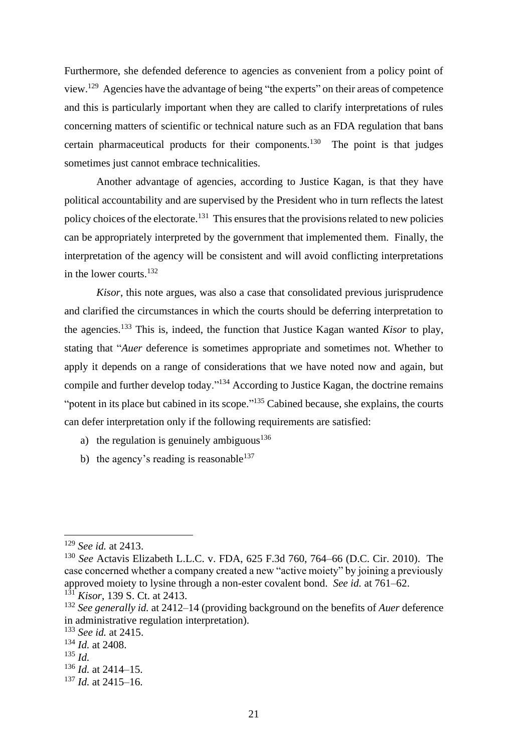Furthermore, she defended deference to agencies as convenient from a policy point of view.<sup>129</sup> Agencies have the advantage of being "the experts" on their areas of competence and this is particularly important when they are called to clarify interpretations of rules concerning matters of scientific or technical nature such as an FDA regulation that bans certain pharmaceutical products for their components.<sup>130</sup> The point is that judges sometimes just cannot embrace technicalities.

Another advantage of agencies, according to Justice Kagan, is that they have political accountability and are supervised by the President who in turn reflects the latest policy choices of the electorate.<sup>131</sup> This ensures that the provisions related to new policies can be appropriately interpreted by the government that implemented them. Finally, the interpretation of the agency will be consistent and will avoid conflicting interpretations in the lower courts.<sup>132</sup>

*Kisor*, this note argues, was also a case that consolidated previous jurisprudence and clarified the circumstances in which the courts should be deferring interpretation to the agencies.<sup>133</sup> This is, indeed, the function that Justice Kagan wanted *Kisor* to play, stating that "*Auer* deference is sometimes appropriate and sometimes not. Whether to apply it depends on a range of considerations that we have noted now and again, but compile and further develop today."<sup>134</sup> According to Justice Kagan, the doctrine remains "potent in its place but cabined in its scope."<sup>135</sup> Cabined because, she explains, the courts can defer interpretation only if the following requirements are satisfied:

- a) the regulation is genuinely ambiguous<sup>136</sup>
- b) the agency's reading is reasonable<sup>137</sup>

<sup>135</sup> *Id.*

<sup>137</sup> *Id.* at 2415–16.

<sup>129</sup> *See id.* at 2413.

<sup>130</sup> *See* Actavis Elizabeth L.L.C. v. FDA, 625 F.3d 760, 764–66 (D.C. Cir. 2010). The case concerned whether a company created a new "active moiety" by joining a previously approved moiety to lysine through a non-ester covalent bond. *See id.* at 761–62.

<sup>131</sup> *Kisor*, 139 S. Ct. at 2413.

<sup>132</sup> *See generally id.* at 2412–14 (providing background on the benefits of *Auer* deference in administrative regulation interpretation).

<sup>133</sup> *See id.* at 2415.

<sup>134</sup> *Id.* at 2408.

<sup>136</sup> *Id.* at 2414–15.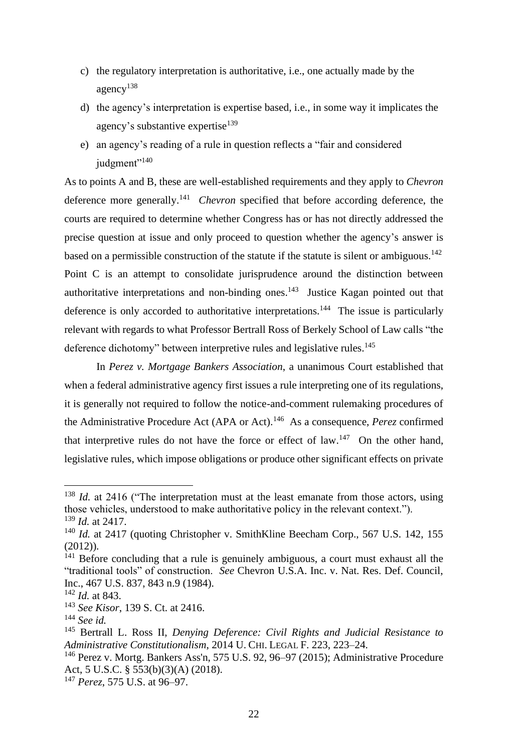- c) the regulatory interpretation is authoritative, i.e., one actually made by the agency<sup>138</sup>
- d) the agency's interpretation is expertise based, i.e., in some way it implicates the agency's substantive expertise<sup>139</sup>
- e) an agency's reading of a rule in question reflects a "fair and considered judgment"<sup>140</sup>

As to points A and B, these are well-established requirements and they apply to *Chevron* deference more generally.<sup>141</sup> *Chevron* specified that before according deference, the courts are required to determine whether Congress has or has not directly addressed the precise question at issue and only proceed to question whether the agency's answer is based on a permissible construction of the statute if the statute is silent or ambiguous.<sup>142</sup> Point C is an attempt to consolidate jurisprudence around the distinction between authoritative interpretations and non-binding ones.<sup>143</sup> Justice Kagan pointed out that deference is only accorded to authoritative interpretations.<sup>144</sup> The issue is particularly relevant with regards to what Professor Bertrall Ross of Berkely School of Law calls "the deference dichotomy" between interpretive rules and legislative rules.<sup>145</sup>

In *Perez v. Mortgage Bankers Association*, a unanimous Court established that when a federal administrative agency first issues a rule interpreting one of its regulations, it is generally not required to follow the notice-and-comment rulemaking procedures of the Administrative Procedure Act (APA or Act).<sup>146</sup> As a consequence, *Perez* confirmed that interpretive rules do not have the force or effect of  $law$ <sup>147</sup>. On the other hand, legislative rules, which impose obligations or produce other significant effects on private

<sup>&</sup>lt;sup>138</sup> *Id.* at 2416 ("The interpretation must at the least emanate from those actors, using those vehicles, understood to make authoritative policy in the relevant context."). <sup>139</sup> *Id.* at 2417.

<sup>140</sup> *Id.* at 2417 (quoting Christopher v. SmithKline Beecham Corp., 567 U.S. 142, 155 (2012)).

<sup>&</sup>lt;sup>141</sup> Before concluding that a rule is genuinely ambiguous, a court must exhaust all the "traditional tools" of construction. *See* Chevron U.S.A. Inc. v. Nat. Res. Def. Council, Inc., 467 U.S. 837, 843 n.9 (1984).

<sup>142</sup> *Id.* at 843.

<sup>143</sup> *See Kisor*, 139 S. Ct. at 2416.

<sup>144</sup> *See id.*

<sup>145</sup> Bertrall L. Ross II, *Denying Deference: Civil Rights and Judicial Resistance to Administrative Constitutionalism*, 2014 U. CHI. LEGAL F. 223, 223–24.

<sup>&</sup>lt;sup>146</sup> Perez v. Mortg. Bankers Ass'n, 575 U.S. 92, 96–97 (2015); Administrative Procedure Act, 5 U.S.C. § 553(b)(3)(A) (2018).

<sup>147</sup> *Perez*, 575 U.S. at 96–97.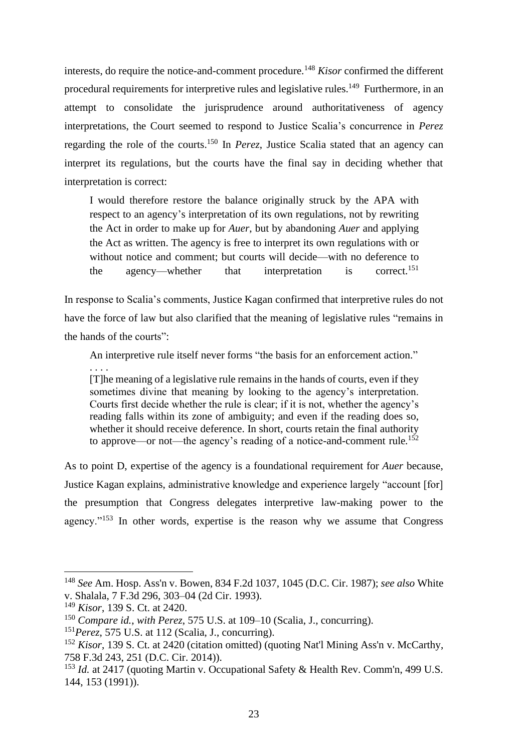interests, do require the notice-and-comment procedure.<sup>148</sup> *Kisor* confirmed the different procedural requirements for interpretive rules and legislative rules.<sup>149</sup> Furthermore, in an attempt to consolidate the jurisprudence around authoritativeness of agency interpretations, the Court seemed to respond to Justice Scalia's concurrence in *Perez* regarding the role of the courts. <sup>150</sup> In *Perez*, Justice Scalia stated that an agency can interpret its regulations, but the courts have the final say in deciding whether that interpretation is correct:

I would therefore restore the balance originally struck by the APA with respect to an agency's interpretation of its own regulations, not by rewriting the Act in order to make up for *Auer*, but by abandoning *Auer* and applying the Act as written. The agency is free to interpret its own regulations with or without notice and comment; but courts will decide—with no deference to the agency—whether that interpretation is correct.<sup>151</sup>

In response to Scalia's comments, Justice Kagan confirmed that interpretive rules do not have the force of law but also clarified that the meaning of legislative rules "remains in the hands of the courts":

An interpretive rule itself never forms "the basis for an enforcement action." . . . .

[T]he meaning of a legislative rule remains in the hands of courts, even if they sometimes divine that meaning by looking to the agency's interpretation. Courts first decide whether the rule is clear; if it is not, whether the agency's reading falls within its zone of ambiguity; and even if the reading does so, whether it should receive deference. In short, courts retain the final authority to approve—or not—the agency's reading of a notice-and-comment rule.<sup>152</sup>

As to point D, expertise of the agency is a foundational requirement for *Auer* because, Justice Kagan explains, administrative knowledge and experience largely "account [for] the presumption that Congress delegates interpretive law-making power to the agency."<sup>153</sup> In other words, expertise is the reason why we assume that Congress

<sup>148</sup> *See* Am. Hosp. Ass'n v. Bowen, 834 F.2d 1037, 1045 (D.C. Cir. 1987); *see also* White v. Shalala, 7 F.3d 296, 303–04 (2d Cir. 1993).

<sup>149</sup> *Kisor*, 139 S. Ct. at 2420.

<sup>150</sup> *Compare id.*, *with Perez*, 575 U.S. at 109–10 (Scalia, J., concurring).

<sup>151</sup>*Perez*, 575 U.S. at 112 (Scalia, J., concurring).

<sup>152</sup> *Kisor*, 139 S. Ct. at 2420 (citation omitted) (quoting Nat'l Mining Ass'n v. McCarthy, 758 F.3d 243, 251 (D.C. Cir. 2014)).

<sup>153</sup> *Id.* at 2417 (quoting Martin v. Occupational Safety & Health Rev. Comm'n, 499 U.S. 144, 153 (1991)).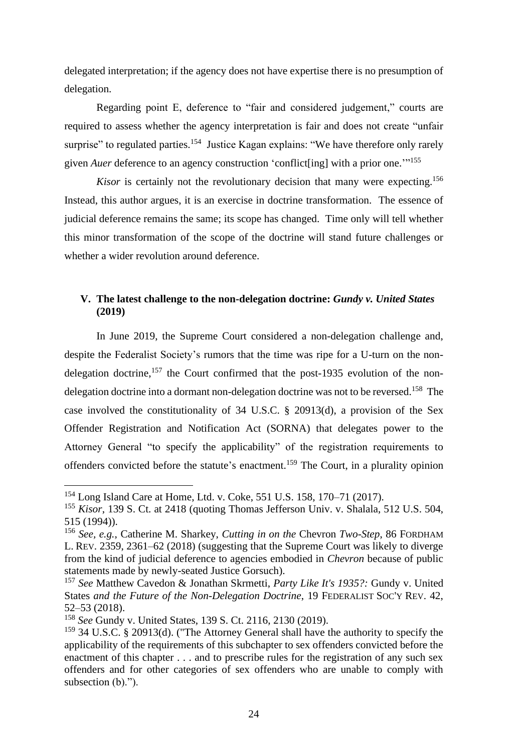delegated interpretation; if the agency does not have expertise there is no presumption of delegation.

Regarding point E, deference to "fair and considered judgement," courts are required to assess whether the agency interpretation is fair and does not create "unfair surprise" to regulated parties.<sup>154</sup> Justice Kagan explains: "We have therefore only rarely given *Auer* deference to an agency construction 'conflict[ing] with a prior one."<sup>155</sup>

*Kisor* is certainly not the revolutionary decision that many were expecting.<sup>156</sup> Instead, this author argues, it is an exercise in doctrine transformation. The essence of judicial deference remains the same; its scope has changed. Time only will tell whether this minor transformation of the scope of the doctrine will stand future challenges or whether a wider revolution around deference.

# **V. The latest challenge to the non-delegation doctrine:** *Gundy v. United States* **(2019)**

In June 2019, the Supreme Court considered a non-delegation challenge and, despite the Federalist Society's rumors that the time was ripe for a U-turn on the nondelegation doctrine, $157$  the Court confirmed that the post-1935 evolution of the nondelegation doctrine into a dormant non-delegation doctrine was not to be reversed. 158 The case involved the constitutionality of 34 U.S.C. § 20913(d), a provision of the Sex Offender Registration and Notification Act (SORNA) that delegates power to the Attorney General "to specify the applicability" of the registration requirements to offenders convicted before the statute's enactment.<sup>159</sup> The Court, in a plurality opinion

<sup>154</sup> Long Island Care at Home, Ltd. v. Coke, 551 U.S. 158, 170–71 (2017).

<sup>155</sup> *Kisor*, 139 S. Ct. at 2418 (quoting Thomas Jefferson Univ. v. Shalala, 512 U.S. 504, 515 (1994)).

<sup>156</sup> *See, e.g.*, Catherine M. Sharkey, *Cutting in on the* Chevron *Two-Step*, 86 FORDHAM L. REV. 2359, 2361–62 (2018) (suggesting that the Supreme Court was likely to diverge from the kind of judicial deference to agencies embodied in *Chevron* because of public statements made by newly-seated Justice Gorsuch).

<sup>157</sup> *See* Matthew Cavedon & Jonathan Skrmetti, *Party Like It's 1935?:* Gundy v. United States *and the Future of the Non-Delegation Doctrine*, 19 FEDERALIST SOC'Y REV. 42, 52–53 (2018).

<sup>158</sup> *See* Gundy v. United States, 139 S. Ct. 2116, 2130 (2019).

<sup>159</sup> 34 U.S.C. § 20913(d). ("The Attorney General shall have the authority to specify the applicability of the requirements of this subchapter to sex offenders convicted before the enactment of this chapter . . . and to prescribe rules for the registration of any such sex offenders and for other categories of sex offenders who are unable to comply with subsection (b).").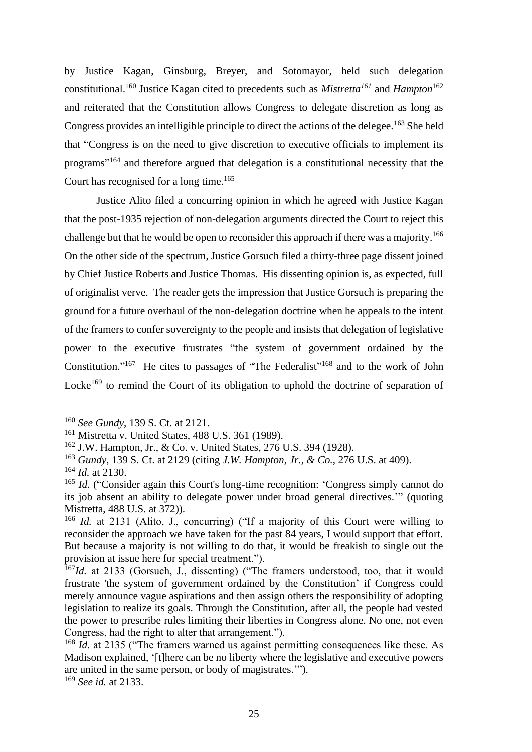by Justice Kagan, Ginsburg, Breyer, and Sotomayor, held such delegation constitutional. <sup>160</sup> Justice Kagan cited to precedents such as *Mistretta<sup>161</sup>* and *Hampton*<sup>162</sup> and reiterated that the Constitution allows Congress to delegate discretion as long as Congress provides an intelligible principle to direct the actions of the delegee.<sup>163</sup> She held that "Congress is on the need to give discretion to executive officials to implement its programs"<sup>164</sup> and therefore argued that delegation is a constitutional necessity that the Court has recognised for a long time. 165

Justice Alito filed a concurring opinion in which he agreed with Justice Kagan that the post-1935 rejection of non-delegation arguments directed the Court to reject this challenge but that he would be open to reconsider this approach if there was a majority.<sup>166</sup> On the other side of the spectrum, Justice Gorsuch filed a thirty-three page dissent joined by Chief Justice Roberts and Justice Thomas. His dissenting opinion is, as expected, full of originalist verve. The reader gets the impression that Justice Gorsuch is preparing the ground for a future overhaul of the non-delegation doctrine when he appeals to the intent of the framers to confer sovereignty to the people and insists that delegation of legislative power to the executive frustrates "the system of government ordained by the Constitution."<sup>167</sup> He cites to passages of "The Federalist"<sup>168</sup> and to the work of John Locke<sup>169</sup> to remind the Court of its obligation to uphold the doctrine of separation of

<sup>160</sup> *See Gundy*, 139 S. Ct. at 2121.

<sup>161</sup> Mistretta v. United States, 488 U.S. 361 (1989).

<sup>162</sup> J.W. Hampton, Jr., & Co. v. United States, 276 U.S. 394 (1928).

<sup>163</sup> *Gundy,* 139 S. Ct. at 2129 (citing *J.W. Hampton, Jr., & Co.*, 276 U.S. at 409).

<sup>164</sup> *Id.* at 2130.

<sup>&</sup>lt;sup>165</sup> *Id.* ("Consider again this Court's long-time recognition: 'Congress simply cannot do its job absent an ability to delegate power under broad general directives.'" (quoting Mistretta, 488 U.S. at 372)).

<sup>&</sup>lt;sup>166</sup> *Id.* at 2131 (Alito, J., concurring) ("If a majority of this Court were willing to reconsider the approach we have taken for the past 84 years, I would support that effort. But because a majority is not willing to do that, it would be freakish to single out the provision at issue here for special treatment.").

<sup>&</sup>lt;sup>167</sup>*Id.* at 2133 (Gorsuch, J., dissenting) ("The framers understood, too, that it would frustrate 'the system of government ordained by the Constitution' if Congress could merely announce vague aspirations and then assign others the responsibility of adopting legislation to realize its goals. Through the Constitution, after all, the people had vested the power to prescribe rules limiting their liberties in Congress alone. No one, not even Congress, had the right to alter that arrangement.").

<sup>&</sup>lt;sup>168</sup> *Id.* at 2135 ("The framers warned us against permitting consequences like these. As Madison explained, '[t]here can be no liberty where the legislative and executive powers are united in the same person, or body of magistrates.'").

<sup>169</sup> *See id.* at 2133.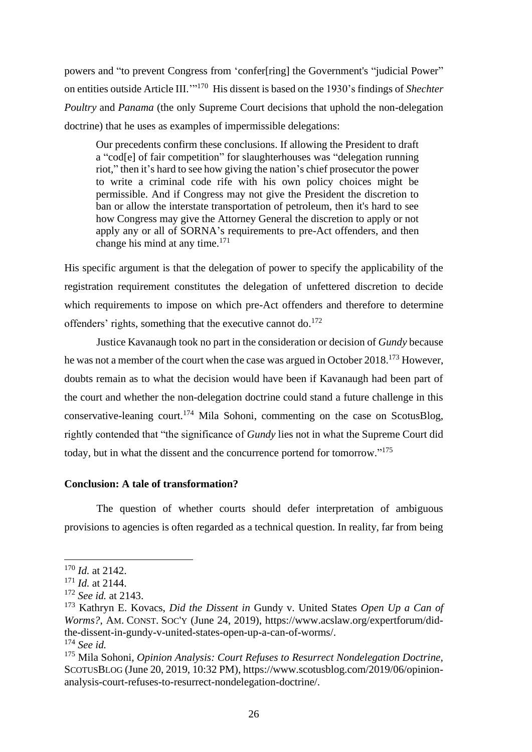powers and "to prevent Congress from 'confer[ring] the Government's "judicial Power" on entities outside Article III.'" <sup>170</sup> His dissent is based on the 1930's findings of *Shechter Poultry* and *Panama* (the only Supreme Court decisions that uphold the non-delegation doctrine) that he uses as examples of impermissible delegations:

Our precedents confirm these conclusions. If allowing the President to draft a "cod[e] of fair competition" for slaughterhouses was "delegation running riot," then it's hard to see how giving the nation's chief prosecutor the power to write a criminal code rife with his own policy choices might be permissible. And if Congress may not give the President the discretion to ban or allow the interstate transportation of petroleum, then it's hard to see how Congress may give the Attorney General the discretion to apply or not apply any or all of SORNA's requirements to pre-Act offenders, and then change his mind at any time.<sup>171</sup>

His specific argument is that the delegation of power to specify the applicability of the registration requirement constitutes the delegation of unfettered discretion to decide which requirements to impose on which pre-Act offenders and therefore to determine offenders' rights, something that the executive cannot do.<sup>172</sup>

Justice Kavanaugh took no part in the consideration or decision of *Gundy* because he was not a member of the court when the case was argued in October 2018.<sup>173</sup> However, doubts remain as to what the decision would have been if Kavanaugh had been part of the court and whether the non-delegation doctrine could stand a future challenge in this conservative-leaning court. <sup>174</sup> Mila Sohoni, commenting on the case on ScotusBlog, rightly contended that "the significance of *Gundy* lies not in what the Supreme Court did today, but in what the dissent and the concurrence portend for tomorrow."<sup>175</sup>

## **Conclusion: A tale of transformation?**

The question of whether courts should defer interpretation of ambiguous provisions to agencies is often regarded as a technical question. In reality, far from being

<sup>170</sup> *Id.* at 2142.

<sup>171</sup> *Id.* at 2144.

<sup>172</sup> *See id.* at 2143.

<sup>173</sup> Kathryn E. Kovacs, *Did the Dissent in* Gundy v. United States *Open Up a Can of Worms?*, AM. CONST. SOC'Y (June 24, 2019), https://www.acslaw.org/expertforum/didthe-dissent-in-gundy-v-united-states-open-up-a-can-of-worms/. <sup>174</sup> *See id.*

<sup>175</sup> Mila Sohoni*, Opinion Analysis: Court Refuses to Resurrect Nondelegation Doctrine,*  SCOTUSBLOG (June 20, 2019, 10:32 PM), https://www.scotusblog.com/2019/06/opinionanalysis-court-refuses-to-resurrect-nondelegation-doctrine/.